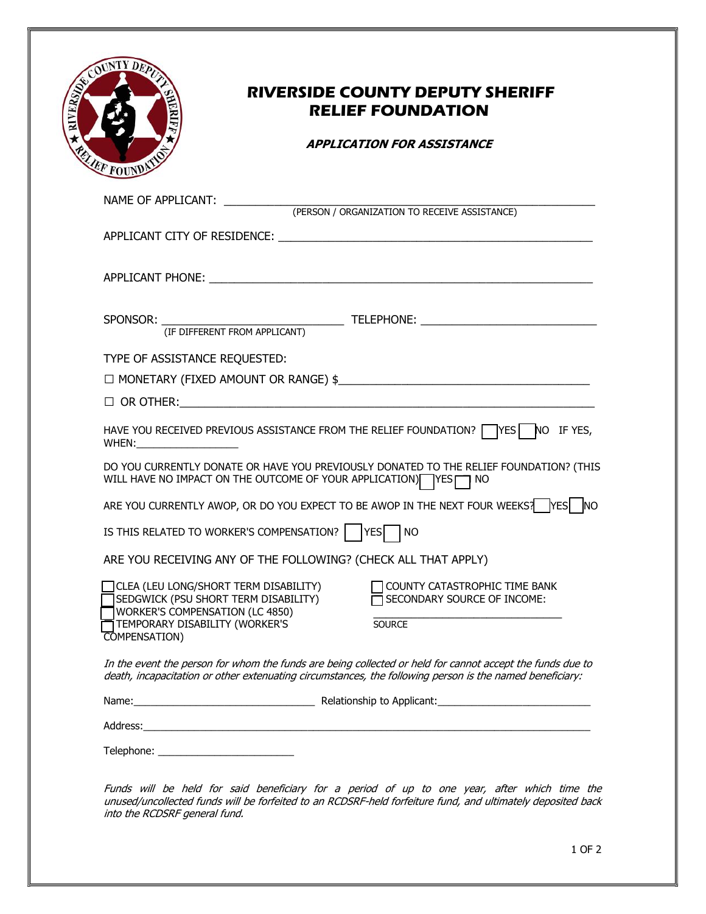| COURTY DEPA<br>RIFr<br>RELIEF FOUNDATION |
|------------------------------------------|
| $MATE \cap F$ $A$ $DDI}$ $TCA$ $NIT$ .   |

## RIVERSIDE COUNTY DEPUTY SHERIFF RELIEF FOUNDATION

## APPLICATION FOR ASSISTANCE

| NAME OF APPLICANT:<br>(PERSON / ORGANIZATION TO RECEIVE ASSISTANCE)                                                                                                                                                                                                 |
|---------------------------------------------------------------------------------------------------------------------------------------------------------------------------------------------------------------------------------------------------------------------|
|                                                                                                                                                                                                                                                                     |
|                                                                                                                                                                                                                                                                     |
| SPONSOR: THE DIFFERENT FROM APPLICANT) TELEPHONE: THE AND THE CONSIDERED TELEPHONE:                                                                                                                                                                                 |
| TYPE OF ASSISTANCE REQUESTED:                                                                                                                                                                                                                                       |
| $\Box$ MONETARY (FIXED AMOUNT OR RANGE) \$                                                                                                                                                                                                                          |
|                                                                                                                                                                                                                                                                     |
| HAVE YOU RECEIVED PREVIOUS ASSISTANCE FROM THE RELIEF FOUNDATION? $\Box$ YES<br>NO IF YES,<br>WHEN:<br><u> 1980 - Jan Barbara Barbara, prima popula</u>                                                                                                             |
| DO YOU CURRENTLY DONATE OR HAVE YOU PREVIOUSLY DONATED TO THE RELIEF FOUNDATION? (THIS<br>WILL HAVE NO IMPACT ON THE OUTCOME OF YOUR APPLICATION) YES IT NO                                                                                                         |
| ARE YOU CURRENTLY AWOP, OR DO YOU EXPECT TO BE AWOP IN THE NEXT FOUR WEEKS? YES NO                                                                                                                                                                                  |
| IS THIS RELATED TO WORKER'S COMPENSATION?    YES<br>I NO                                                                                                                                                                                                            |
| ARE YOU RECEIVING ANY OF THE FOLLOWING? (CHECK ALL THAT APPLY)                                                                                                                                                                                                      |
| CLEA (LEU LONG/SHORT TERM DISABILITY)<br>COUNTY CATASTROPHIC TIME BANK<br>SEDGWICK (PSU SHORT TERM DISABILITY)<br>SECONDARY SOURCE OF INCOME:<br><b>WORKER'S COMPENSATION (LC 4850)</b><br>TEMPORARY DISABILITY (WORKER'S<br><b>SOURCE</b><br><b>COMPENSATION</b> ) |
| In the event the person for whom the funds are being collected or held for cannot accept the funds due to<br>death, incapacitation or other extenuating circumstances, the following person is the named beneficiary:                                               |
|                                                                                                                                                                                                                                                                     |
| Address:                                                                                                                                                                                                                                                            |

Telephone: \_\_\_\_\_\_\_\_\_\_\_\_\_\_\_\_\_\_\_\_\_\_\_\_

Funds will be held for said beneficiary for a period of up to one year, after which time the unused/uncollected funds will be forfeited to an RCDSRF-held forfeiture fund, and ultimately deposited back into the RCDSRF general fund.